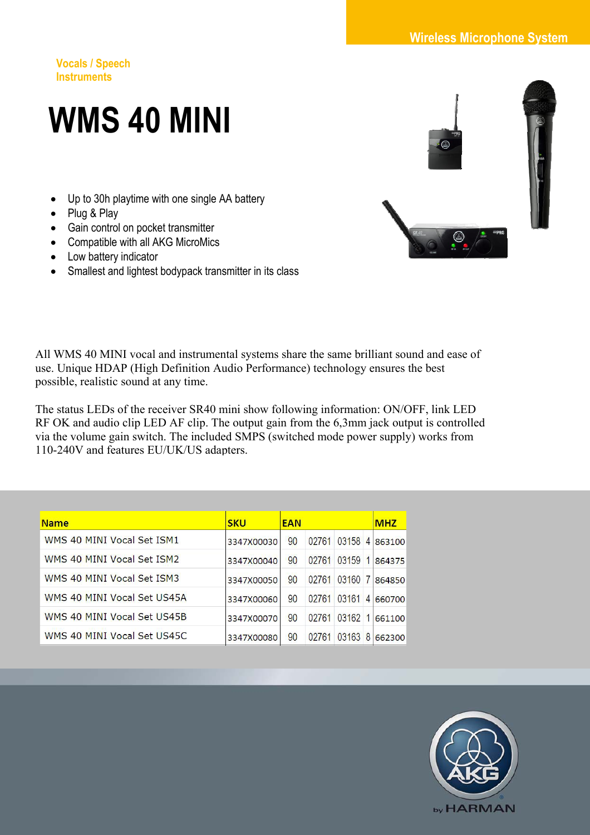**Vocals / Speech Instruments** 

## **WMS 40 MINI**

- Up to 30h playtime with one single AA battery
- Plug & Play
- Gain control on pocket transmitter
- Compatible with all AKG MicroMics
- Low battery indicator
- Smallest and lightest bodypack transmitter in its class



All WMS 40 MINI vocal and instrumental systems share the same brilliant sound and ease of use. Unique HDAP (High Definition Audio Performance) technology ensures the best possible, realistic sound at any time.

The status LEDs of the receiver SR40 mini show following information: ON/OFF, link LED RF OK and audio clip LED AF clip. The output gain from the 6,3mm jack output is controlled via the volume gain switch. The included SMPS (switched mode power supply) works from 110-240V and features EU/UK/US adapters.

| <b>Name</b>                 | <b>SKU</b> | <b>EAN</b> |       |         |                | <b>MHZ</b> |
|-----------------------------|------------|------------|-------|---------|----------------|------------|
| WMS 40 MINI Vocal Set ISM1  | 3347X00030 | 90         | 02761 | 03158   | $\overline{4}$ | 863100     |
| WMS 40 MINI Vocal Set ISM2  | 3347X00040 | 90         | 02761 | 03159   | $\mathbf{1}$   | 864375     |
| WMS 40 MINI Vocal Set ISM3  | 3347X00050 | 90         | 02761 | 03160 7 |                | 864850     |
| WMS 40 MINI Vocal Set US45A | 3347X00060 | 90         | 02761 | 03161   | $\overline{4}$ | 660700     |
| WMS 40 MINI Vocal Set US45B | 3347X00070 | 90         | 02761 | 03162   |                | 661100     |
| WMS 40 MINI Vocal Set US45C | 3347X00080 | 90         | 02761 | 03163   | 8              | 662300     |